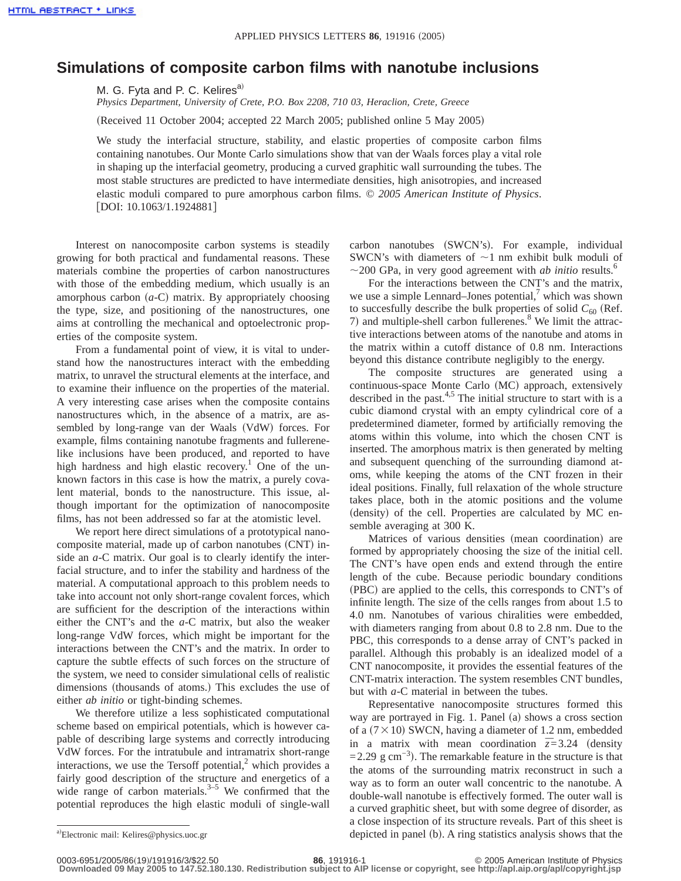## **Simulations of composite carbon films with nanotube inclusions**

M. G. Fyta and P. C. Kelires<sup>a)</sup>

*Physics Department, University of Crete, P.O. Box 2208, 710 03, Heraclion, Crete, Greece*

(Received 11 October 2004; accepted 22 March 2005; published online 5 May 2005)

We study the interfacial structure, stability, and elastic properties of composite carbon films containing nanotubes. Our Monte Carlo simulations show that van der Waals forces play a vital role in shaping up the interfacial geometry, producing a curved graphitic wall surrounding the tubes. The most stable structures are predicted to have intermediate densities, high anisotropies, and increased elastic moduli compared to pure amorphous carbon films. © *2005 American Institute of Physics*.  $[$ DOI: 10.1063/1.1924881]

Interest on nanocomposite carbon systems is steadily growing for both practical and fundamental reasons. These materials combine the properties of carbon nanostructures with those of the embedding medium, which usually is an amorphous carbon  $(a-C)$  matrix. By appropriately choosing the type, size, and positioning of the nanostructures, one aims at controlling the mechanical and optoelectronic properties of the composite system.

From a fundamental point of view, it is vital to understand how the nanostructures interact with the embedding matrix, to unravel the structural elements at the interface, and to examine their influence on the properties of the material. A very interesting case arises when the composite contains nanostructures which, in the absence of a matrix, are assembled by long-range van der Waals (VdW) forces. For example, films containing nanotube fragments and fullerenelike inclusions have been produced, and reported to have high hardness and high elastic recovery.<sup>1</sup> One of the unknown factors in this case is how the matrix, a purely covalent material, bonds to the nanostructure. This issue, although important for the optimization of nanocomposite films, has not been addressed so far at the atomistic level.

We report here direct simulations of a prototypical nanocomposite material, made up of carbon nanotubes (CNT) inside an *a*-C matrix. Our goal is to clearly identify the interfacial structure, and to infer the stability and hardness of the material. A computational approach to this problem needs to take into account not only short-range covalent forces, which are sufficient for the description of the interactions within either the CNT's and the *a*-C matrix, but also the weaker long-range VdW forces, which might be important for the interactions between the CNT's and the matrix. In order to capture the subtle effects of such forces on the structure of the system, we need to consider simulational cells of realistic dimensions (thousands of atoms.) This excludes the use of either *ab initio* or tight-binding schemes.

We therefore utilize a less sophisticated computational scheme based on empirical potentials, which is however capable of describing large systems and correctly introducing VdW forces. For the intratubule and intramatrix short-range interactions, we use the Tersoff potential, $2$  which provides a fairly good description of the structure and energetics of a wide range of carbon materials. $3-5$  We confirmed that the potential reproduces the high elastic moduli of single-wall carbon nanotubes (SWCN's). For example, individual SWCN's with diameters of  $\sim$ 1 nm exhibit bulk moduli of  $\sim$ 200 GPa, in very good agreement with *ab initio* results.<sup>6</sup>

For the interactions between the CNT's and the matrix, we use a simple Lennard–Jones potential, $\alpha$ <sup>7</sup> which was shown to succesfully describe the bulk properties of solid  $C_{60}$  (Ref. 7) and multiple-shell carbon fullerenes. $8$  We limit the attractive interactions between atoms of the nanotube and atoms in the matrix within a cutoff distance of 0.8 nm. Interactions beyond this distance contribute negligibly to the energy.

The composite structures are generated using a continuous-space Monte Carlo (MC) approach, extensively described in the past. $4,5$  The initial structure to start with is a cubic diamond crystal with an empty cylindrical core of a predetermined diameter, formed by artificially removing the atoms within this volume, into which the chosen CNT is inserted. The amorphous matrix is then generated by melting and subsequent quenching of the surrounding diamond atoms, while keeping the atoms of the CNT frozen in their ideal positions. Finally, full relaxation of the whole structure takes place, both in the atomic positions and the volume (density) of the cell. Properties are calculated by MC ensemble averaging at 300 K.

Matrices of various densities (mean coordination) are formed by appropriately choosing the size of the initial cell. The CNT's have open ends and extend through the entire length of the cube. Because periodic boundary conditions (PBC) are applied to the cells, this corresponds to CNT's of infinite length. The size of the cells ranges from about 1.5 to 4.0 nm. Nanotubes of various chiralities were embedded, with diameters ranging from about 0.8 to 2.8 nm. Due to the PBC, this corresponds to a dense array of CNT's packed in parallel. Although this probably is an idealized model of a CNT nanocomposite, it provides the essential features of the CNT-matrix interaction. The system resembles CNT bundles, but with *a*-C material in between the tubes.

Representative nanocomposite structures formed this way are portrayed in Fig. 1. Panel (a) shows a cross section of a  $(7 \times 10)$  SWCN, having a diameter of 1.2 nm, embedded in a matrix with mean coordination  $\bar{z}$ =3.24 (density  $=$  2.29 g cm<sup>-3</sup>). The remarkable feature in the structure is that the atoms of the surrounding matrix reconstruct in such a way as to form an outer wall concentric to the nanotube. A double-wall nanotube is effectively formed. The outer wall is a curved graphitic sheet, but with some degree of disorder, as a close inspection of its structure reveals. Part of this sheet is depicted in panel (b). A ring statistics analysis shows that the

**Downloaded 09 May 2005 to 147.52.180.130. Redistribution subject to AIP license or copyright, see http://apl.aip.org/apl/copyright.jsp**

a)Electronic mail: Kelires@physics.uoc.gr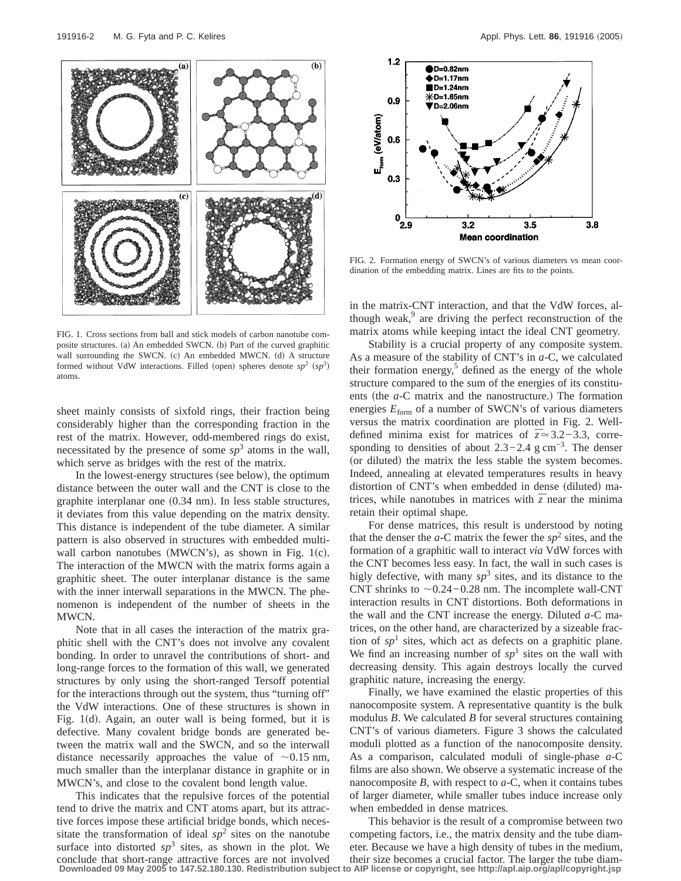

FIG. 1. Cross sections from ball and stick models of carbon nanotube composite structures. (a) An embedded SWCN. (b) Part of the curved graphitic wall surrounding the SWCN. (c) An embedded MWCN. (d) A structure formed without VdW interactions. Filled (open) spheres denote  $sp^2$  ( $sp^3$ ) atoms.

sheet mainly consists of sixfold rings, their fraction being considerably higher than the corresponding fraction in the rest of the matrix. However, odd-membered rings do exist, necessitated by the presence of some  $sp<sup>3</sup>$  atoms in the wall, which serve as bridges with the rest of the matrix.

In the lowest-energy structures (see below), the optimum distance between the outer wall and the CNT is close to the graphite interplanar one  $(0.34 \text{ nm})$ . In less stable structures, it deviates from this value depending on the matrix density. This distance is independent of the tube diameter. A similar pattern is also observed in structures with embedded multiwall carbon nanotubes (MWCN's), as shown in Fig. 1(c). The interaction of the MWCN with the matrix forms again a graphitic sheet. The outer interplanar distance is the same with the inner interwall separations in the MWCN. The phenomenon is independent of the number of sheets in the MWCN.

Note that in all cases the interaction of the matrix graphitic shell with the CNT's does not involve any covalent bonding. In order to unravel the contributions of short- and long-range forces to the formation of this wall, we generated structures by only using the short-ranged Tersoff potential for the interactions through out the system, thus "turning off" the VdW interactions. One of these structures is shown in Fig.  $1(d)$ . Again, an outer wall is being formed, but it is defective. Many covalent bridge bonds are generated between the matrix wall and the SWCN, and so the interwall distance necessarily approaches the value of  $\sim 0.15$  nm, much smaller than the interplanar distance in graphite or in MWCN's, and close to the covalent bond length value.

This indicates that the repulsive forces of the potential tend to drive the matrix and CNT atoms apart, but its attractive forces impose these artificial bridge bonds, which necessitate the transformation of ideal  $sp<sup>2</sup>$  sites on the nanotube surface into distorted  $sp^3$  sites, as shown in the plot. We conclude that short-range attractive forces are not involved **Downloaded 09 May 2005 to 147.52.180.130. Redistribution subject to AIP license or copyright, see http://apl.aip.org/apl/copyright.jsp**



FIG. 2. Formation energy of SWCN's of various diameters vs mean coordination of the embedding matrix. Lines are fits to the points.

in the matrix-CNT interaction, and that the VdW forces, although weak, $9$  are driving the perfect reconstruction of the matrix atoms while keeping intact the ideal CNT geometry.

Stability is a crucial property of any composite system. As a measure of the stability of CNT's in *a*-C, we calculated their formation energy,<sup>5</sup> defined as the energy of the whole structure compared to the sum of the energies of its constituents (the *a*-C matrix and the nanostructure.) The formation energies  $E_{\text{form}}$  of a number of SWCN's of various diameters versus the matrix coordination are plotted in Fig. 2. Welldefined minima exist for matrices of *¯z*.3.2−3.3, corresponding to densities of about  $2.3-2.4$  g cm<sup>-3</sup>. The denser (or diluted) the matrix the less stable the system becomes. Indeed, annealing at elevated temperatures results in heavy distortion of CNT's when embedded in dense (diluted) matrices, while nanotubes in matrices with  $\overline{z}$  near the minima retain their optimal shape.

For dense matrices, this result is understood by noting that the denser the  $a$ -C matrix the fewer the  $sp<sup>2</sup>$  sites, and the formation of a graphitic wall to interact *via* VdW forces with the CNT becomes less easy. In fact, the wall in such cases is higly defective, with many  $sp^3$  sites, and its distance to the CNT shrinks to  $\sim$ 0.24−0.28 nm. The incomplete wall-CNT interaction results in CNT distortions. Both deformations in the wall and the CNT increase the energy. Diluted *a*-C matrices, on the other hand, are characterized by a sizeable fraction of  $sp<sup>1</sup>$  sites, which act as defects on a graphitic plane. We find an increasing number of  $sp<sup>1</sup>$  sites on the wall with decreasing density. This again destroys locally the curved graphitic nature, increasing the energy.

Finally, we have examined the elastic properties of this nanocomposite system. A representative quantity is the bulk modulus *B*. We calculated *B* for several structures containing CNT's of various diameters. Figure 3 shows the calculated moduli plotted as a function of the nanocomposite density. As a comparison, calculated moduli of single-phase *a*-C films are also shown. We observe a systematic increase of the nanocomposite *B*, with respect to *a*-C, when it contains tubes of larger diameter, while smaller tubes induce increase only when embedded in dense matrices.

This behavior is the result of a compromise between two competing factors, i.e., the matrix density and the tube diameter. Because we have a high density of tubes in the medium, their size becomes a crucial factor. The larger the tube diam-